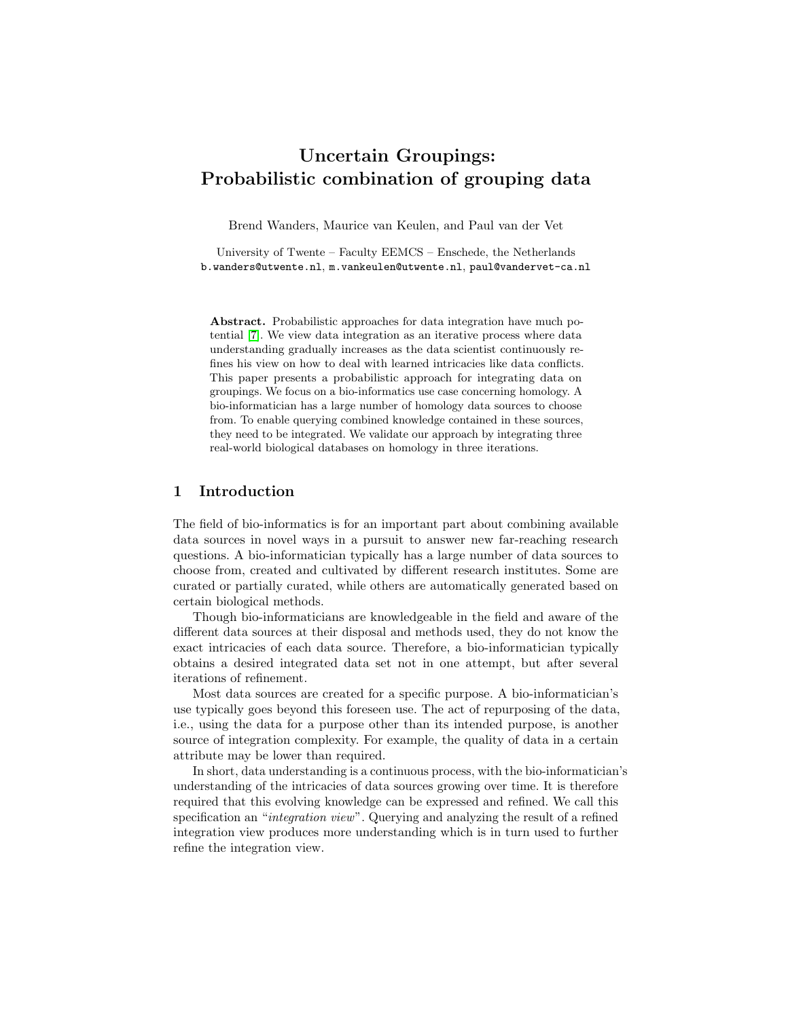# Uncertain Groupings: Probabilistic combination of grouping data

Brend Wanders, Maurice van Keulen, and Paul van der Vet

University of Twente – Faculty EEMCS – Enschede, the Netherlands b.wanders@utwente.nl, m.vankeulen@utwente.nl, paul@vandervet-ca.nl

Abstract. Probabilistic approaches for data integration have much potential [\[7\]](#page-14-0). We view data integration as an iterative process where data understanding gradually increases as the data scientist continuously refines his view on how to deal with learned intricacies like data conflicts. This paper presents a probabilistic approach for integrating data on groupings. We focus on a bio-informatics use case concerning homology. A bio-informatician has a large number of homology data sources to choose from. To enable querying combined knowledge contained in these sources, they need to be integrated. We validate our approach by integrating three real-world biological databases on homology in three iterations.

## 1 Introduction

The field of bio-informatics is for an important part about combining available data sources in novel ways in a pursuit to answer new far-reaching research questions. A bio-informatician typically has a large number of data sources to choose from, created and cultivated by different research institutes. Some are curated or partially curated, while others are automatically generated based on certain biological methods.

Though bio-informaticians are knowledgeable in the field and aware of the different data sources at their disposal and methods used, they do not know the exact intricacies of each data source. Therefore, a bio-informatician typically obtains a desired integrated data set not in one attempt, but after several iterations of refinement.

Most data sources are created for a specific purpose. A bio-informatician's use typically goes beyond this foreseen use. The act of repurposing of the data, i.e., using the data for a purpose other than its intended purpose, is another source of integration complexity. For example, the quality of data in a certain attribute may be lower than required.

In short, data understanding is a continuous process, with the bio-informatician's understanding of the intricacies of data sources growing over time. It is therefore required that this evolving knowledge can be expressed and refined. We call this specification an "integration view". Querying and analyzing the result of a refined integration view produces more understanding which is in turn used to further refine the integration view.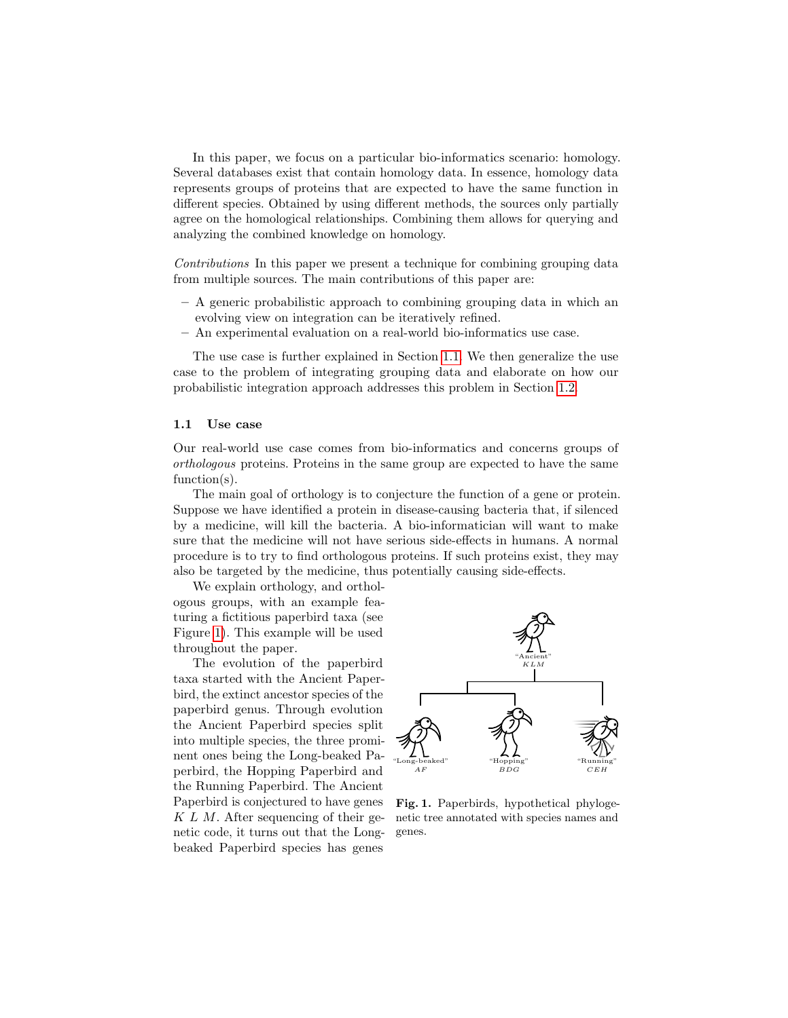In this paper, we focus on a particular bio-informatics scenario: homology. Several databases exist that contain homology data. In essence, homology data represents groups of proteins that are expected to have the same function in different species. Obtained by using different methods, the sources only partially agree on the homological relationships. Combining them allows for querying and analyzing the combined knowledge on homology.

Contributions In this paper we present a technique for combining grouping data from multiple sources. The main contributions of this paper are:

- A generic probabilistic approach to combining grouping data in which an evolving view on integration can be iteratively refined.
- An experimental evaluation on a real-world bio-informatics use case.

The use case is further explained in Section [1.1.](#page-1-0) We then generalize the use case to the problem of integrating grouping data and elaborate on how our probabilistic integration approach addresses this problem in Section [1.2.](#page-2-0)

#### <span id="page-1-0"></span>1.1 Use case

Our real-world use case comes from bio-informatics and concerns groups of orthologous proteins. Proteins in the same group are expected to have the same function(s).

The main goal of orthology is to conjecture the function of a gene or protein. Suppose we have identified a protein in disease-causing bacteria that, if silenced by a medicine, will kill the bacteria. A bio-informatician will want to make sure that the medicine will not have serious side-effects in humans. A normal procedure is to try to find orthologous proteins. If such proteins exist, they may also be targeted by the medicine, thus potentially causing side-effects.

We explain orthology, and orthologous groups, with an example featuring a fictitious paperbird taxa (see Figure [1\)](#page-1-1). This example will be used throughout the paper.

The evolution of the paperbird taxa started with the Ancient Paperbird, the extinct ancestor species of the paperbird genus. Through evolution the Ancient Paperbird species split into multiple species, the three prominent ones being the Long-beaked Paperbird, the Hopping Paperbird and the Running Paperbird. The Ancient Paperbird is conjectured to have genes K L M. After sequencing of their genetic code, it turns out that the Longbeaked Paperbird species has genes



<span id="page-1-1"></span>Fig. 1. Paperbirds, hypothetical phylogenetic tree annotated with species names and genes.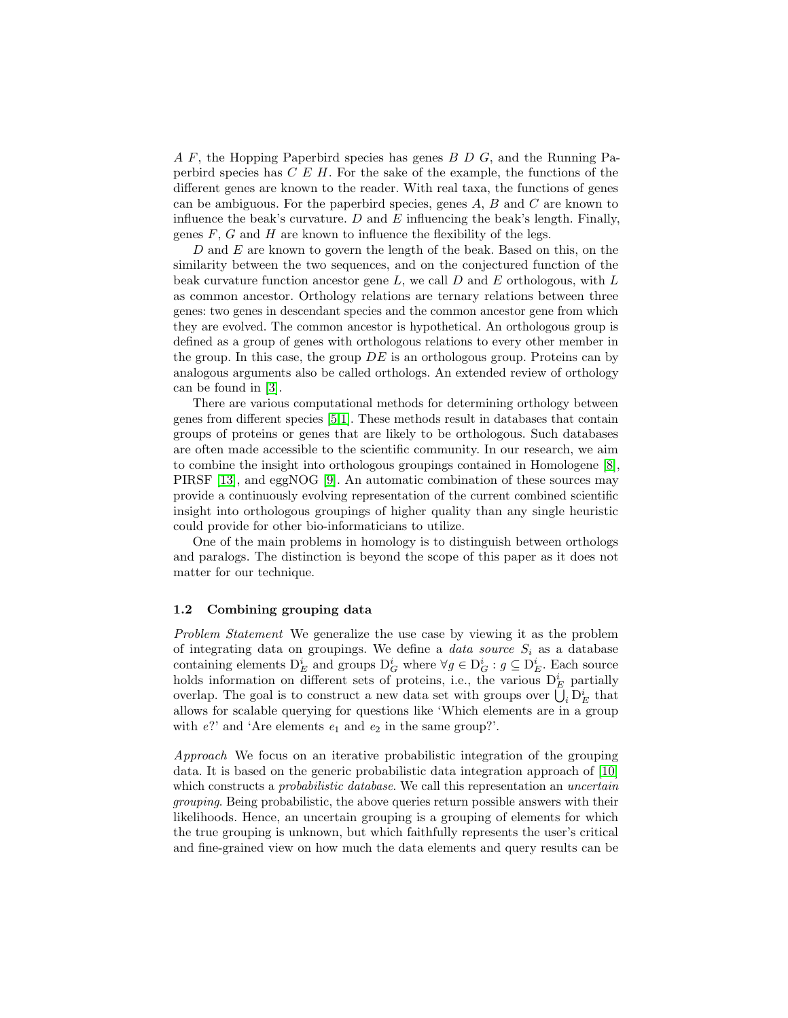A F, the Hopping Paperbird species has genes B D G, and the Running Paperbird species has  $C E H$ . For the sake of the example, the functions of the different genes are known to the reader. With real taxa, the functions of genes can be ambiguous. For the paperbird species, genes A, B and C are known to influence the beak's curvature.  $D$  and  $E$  influencing the beak's length. Finally, genes  $F$ ,  $G$  and  $H$  are known to influence the flexibility of the legs.

D and E are known to govern the length of the beak. Based on this, on the similarity between the two sequences, and on the conjectured function of the beak curvature function ancestor gene  $L$ , we call  $D$  and  $E$  orthologous, with  $L$ as common ancestor. Orthology relations are ternary relations between three genes: two genes in descendant species and the common ancestor gene from which they are evolved. The common ancestor is hypothetical. An orthologous group is defined as a group of genes with orthologous relations to every other member in the group. In this case, the group  $DE$  is an orthologous group. Proteins can by analogous arguments also be called orthologs. An extended review of orthology can be found in [\[3\]](#page-14-1).

There are various computational methods for determining orthology between genes from different species [\[5,](#page-14-2)[1\]](#page-14-3). These methods result in databases that contain groups of proteins or genes that are likely to be orthologous. Such databases are often made accessible to the scientific community. In our research, we aim to combine the insight into orthologous groupings contained in Homologene [\[8\]](#page-14-4), PIRSF [\[13\]](#page-14-5), and eggNOG [\[9\]](#page-14-6). An automatic combination of these sources may provide a continuously evolving representation of the current combined scientific insight into orthologous groupings of higher quality than any single heuristic could provide for other bio-informaticians to utilize.

One of the main problems in homology is to distinguish between orthologs and paralogs. The distinction is beyond the scope of this paper as it does not matter for our technique.

#### <span id="page-2-0"></span>1.2 Combining grouping data

Problem Statement We generalize the use case by viewing it as the problem of integrating data on groupings. We define a *data source*  $S_i$  as a database containing elements  $D_E^i$  and groups  $D_G^i$  where  $\forall g \in D_G^i : g \subseteq D_E^i$ . Each source holds information on different sets of proteins, i.e., the various  $D_E^i$  partially overlap. The goal is to construct a new data set with groups over  $\bigcup_i D_E^i$  that allows for scalable querying for questions like 'Which elements are in a group with  $e$ ?' and 'Are elements  $e_1$  and  $e_2$  in the same group?'.

Approach We focus on an iterative probabilistic integration of the grouping data. It is based on the generic probabilistic data integration approach of [\[10\]](#page-14-7) which constructs a *probabilistic database*. We call this representation an *uncertain* grouping. Being probabilistic, the above queries return possible answers with their likelihoods. Hence, an uncertain grouping is a grouping of elements for which the true grouping is unknown, but which faithfully represents the user's critical and fine-grained view on how much the data elements and query results can be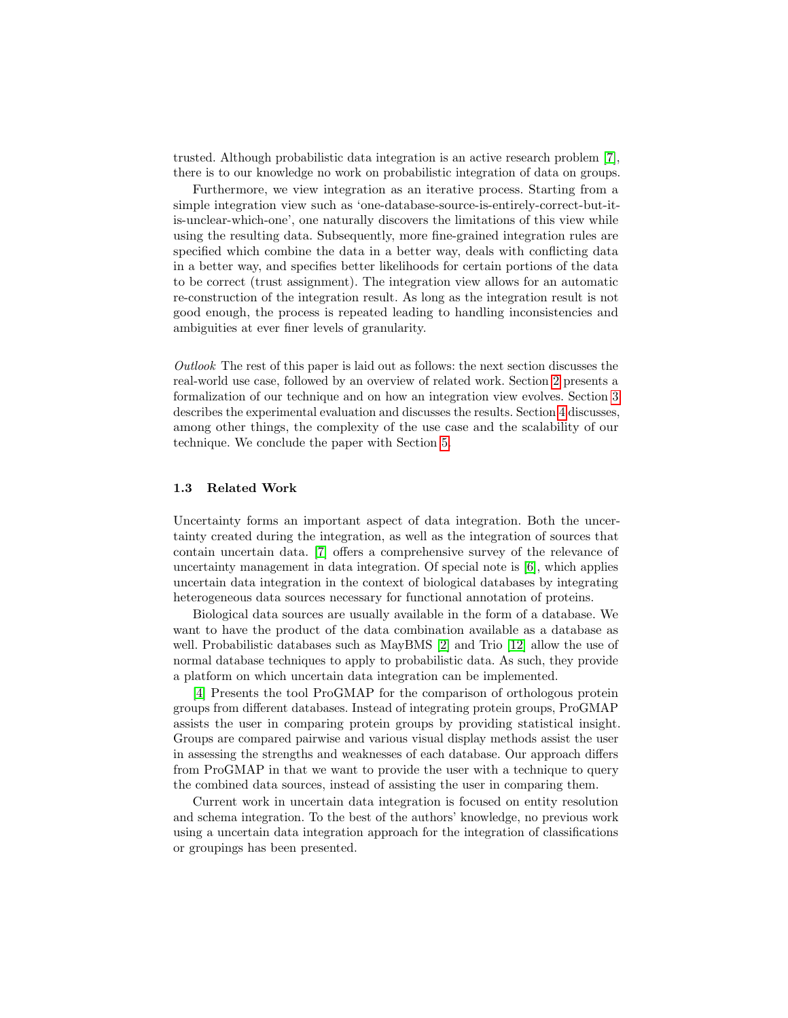trusted. Although probabilistic data integration is an active research problem [\[7\]](#page-14-0), there is to our knowledge no work on probabilistic integration of data on groups.

Furthermore, we view integration as an iterative process. Starting from a simple integration view such as 'one-database-source-is-entirely-correct-but-itis-unclear-which-one', one naturally discovers the limitations of this view while using the resulting data. Subsequently, more fine-grained integration rules are specified which combine the data in a better way, deals with conflicting data in a better way, and specifies better likelihoods for certain portions of the data to be correct (trust assignment). The integration view allows for an automatic re-construction of the integration result. As long as the integration result is not good enough, the process is repeated leading to handling inconsistencies and ambiguities at ever finer levels of granularity.

Outlook The rest of this paper is laid out as follows: the next section discusses the real-world use case, followed by an overview of related work. Section [2](#page-4-0) presents a formalization of our technique and on how an integration view evolves. Section [3](#page-10-0) describes the experimental evaluation and discusses the results. Section [4](#page-13-0) discusses, among other things, the complexity of the use case and the scalability of our technique. We conclude the paper with Section [5.](#page-13-1)

#### 1.3 Related Work

Uncertainty forms an important aspect of data integration. Both the uncertainty created during the integration, as well as the integration of sources that contain uncertain data. [\[7\]](#page-14-0) offers a comprehensive survey of the relevance of uncertainty management in data integration. Of special note is [\[6\]](#page-14-8), which applies uncertain data integration in the context of biological databases by integrating heterogeneous data sources necessary for functional annotation of proteins.

Biological data sources are usually available in the form of a database. We want to have the product of the data combination available as a database as well. Probabilistic databases such as MayBMS [\[2\]](#page-14-9) and Trio [\[12\]](#page-14-10) allow the use of normal database techniques to apply to probabilistic data. As such, they provide a platform on which uncertain data integration can be implemented.

[\[4\]](#page-14-11) Presents the tool ProGMAP for the comparison of orthologous protein groups from different databases. Instead of integrating protein groups, ProGMAP assists the user in comparing protein groups by providing statistical insight. Groups are compared pairwise and various visual display methods assist the user in assessing the strengths and weaknesses of each database. Our approach differs from ProGMAP in that we want to provide the user with a technique to query the combined data sources, instead of assisting the user in comparing them.

Current work in uncertain data integration is focused on entity resolution and schema integration. To the best of the authors' knowledge, no previous work using a uncertain data integration approach for the integration of classifications or groupings has been presented.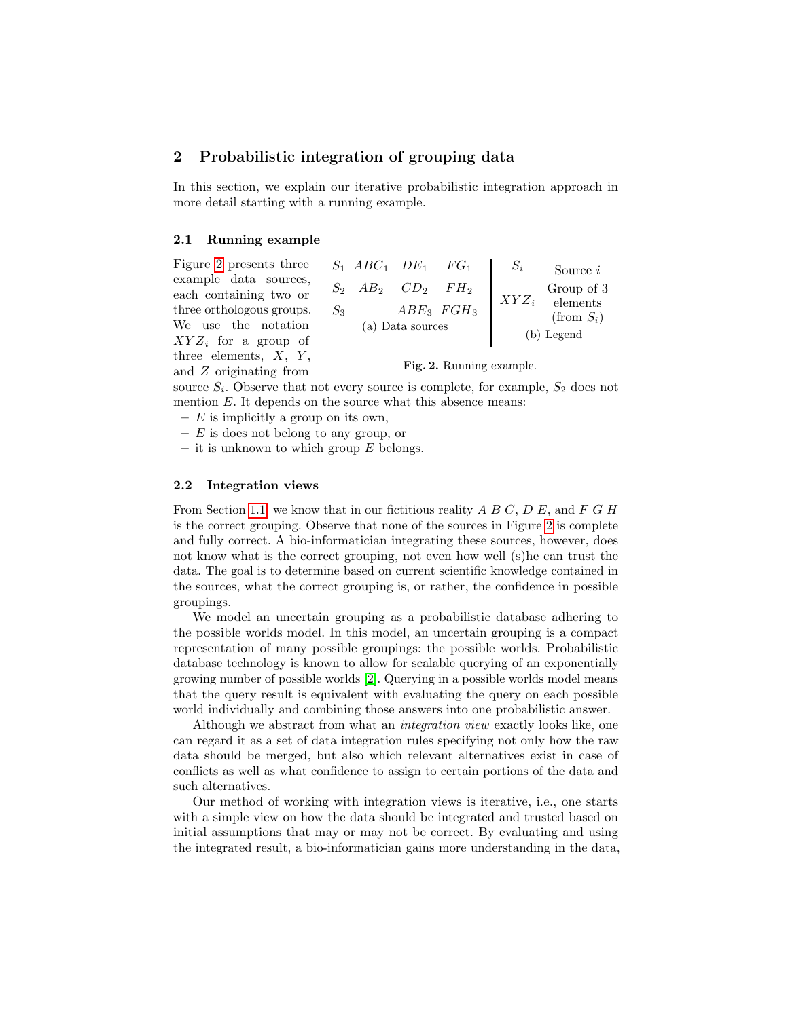# <span id="page-4-0"></span>2 Probabilistic integration of grouping data

In this section, we explain our iterative probabilistic integration approach in more detail starting with a running example.

### 2.1 Running example

Figure [2](#page-4-1) presents three example data sources, each containing two or three orthologous groups. We use the notation  $XYZ_i$  for a group of three elements,  $X$ ,  $Y$ , and Z originating from

| $S_1$            | $ABC_1$    | $DE_1$  | $FG_1$  | $S_i$      | Source $i$ |
|------------------|------------|---------|---------|------------|------------|
| $S_2$            | $AB_2$     | $CD_2$  | $FH_2$  | Group of 3 |            |
| $S_3$            | $ABE_3$    | $FGH_3$ | $XYZ_i$ | elements   |            |
| (a) Data sources | (b) Legend |         |         |            |            |

<span id="page-4-1"></span>Fig. 2. Running example.

source  $S_i$ . Observe that not every source is complete, for example,  $S_2$  does not mention  $E$ . It depends on the source what this absence means:

–  $E$  is implicitly a group on its own,

 $- E$  is does not belong to any group, or

– it is unknown to which group  $E$  belongs.

#### <span id="page-4-2"></span>2.2 Integration views

From Section [1.1,](#page-1-0) we know that in our fictitious reality  $A B C$ ,  $D E$ , and  $F G H$ is the correct grouping. Observe that none of the sources in Figure [2](#page-4-1) is complete and fully correct. A bio-informatician integrating these sources, however, does not know what is the correct grouping, not even how well (s)he can trust the data. The goal is to determine based on current scientific knowledge contained in the sources, what the correct grouping is, or rather, the confidence in possible groupings.

We model an uncertain grouping as a probabilistic database adhering to the possible worlds model. In this model, an uncertain grouping is a compact representation of many possible groupings: the possible worlds. Probabilistic database technology is known to allow for scalable querying of an exponentially growing number of possible worlds [\[2\]](#page-14-9). Querying in a possible worlds model means that the query result is equivalent with evaluating the query on each possible world individually and combining those answers into one probabilistic answer.

Although we abstract from what an *integration view* exactly looks like, one can regard it as a set of data integration rules specifying not only how the raw data should be merged, but also which relevant alternatives exist in case of conflicts as well as what confidence to assign to certain portions of the data and such alternatives.

Our method of working with integration views is iterative, i.e., one starts with a simple view on how the data should be integrated and trusted based on initial assumptions that may or may not be correct. By evaluating and using the integrated result, a bio-informatician gains more understanding in the data,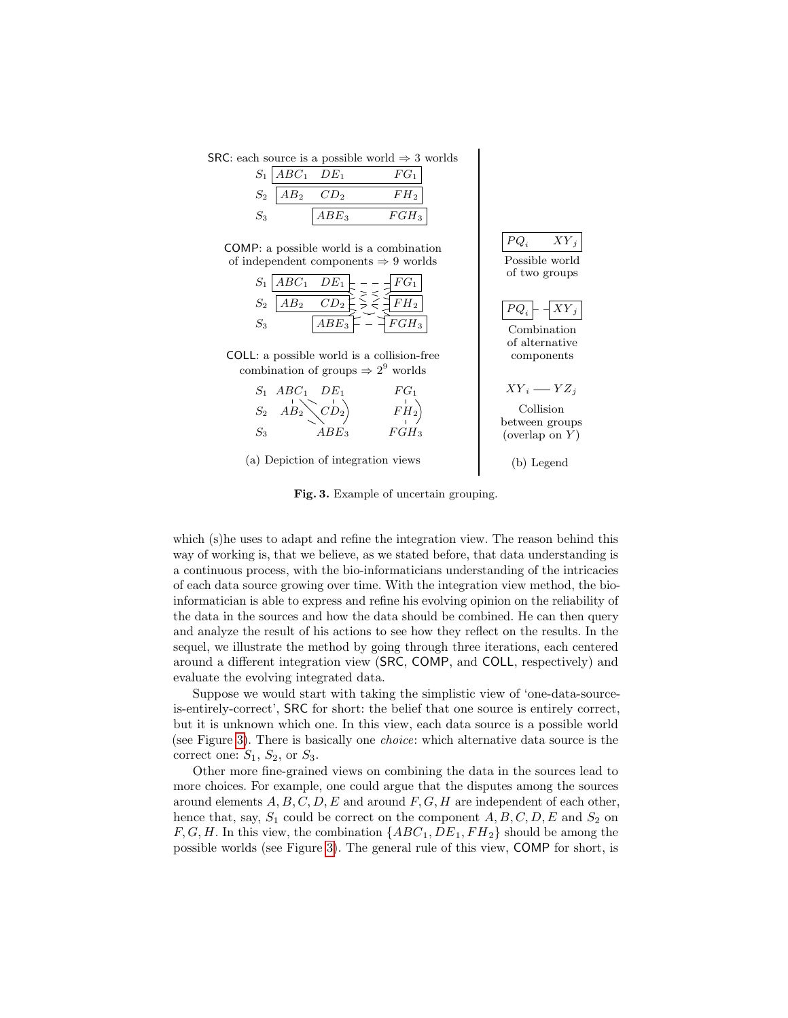SRC: each source is a possible world  $\Rightarrow$  3 worlds

| $S_1$ | $ABC_1$ | $DE_1$          | $FG_{1}$  |
|-------|---------|-----------------|-----------|
| $S_2$ | $AB_2$  | CD <sub>2</sub> | $FH_{2}$  |
|       |         | $ABE_3$         | $FGH_{3}$ |

COMP: a possible world is a combination of independent components  $\Rightarrow$  9 worlds  $S_1$   $\mid$   $ABC_1$   $\mid$   $DE_1$   $\mid$   $-\frac{1}{2}FG_1$  $S_2$   $AB_2$   $CD_2 \in \ni \in \exists$   $FH_2$ 

COLL: a possible world is a collision-free combination of groups  $\Rightarrow$  2<sup>9</sup> worlds

 $S_3$   $ABE_3$ 

| $S_1$ $ABC_1$ $DE_1$<br>$FG_1$<br>$S_2 \quad AB_2 \searrow C D_2$<br>$\overrightarrow{FH}_2$<br>$FGH_3$<br>$ABE_3$<br>$S_3$ | $XY_i \longrightarrow YZ_i$<br>Collision<br>between groups<br>(overlap on $Y$ ) |
|-----------------------------------------------------------------------------------------------------------------------------|---------------------------------------------------------------------------------|
| (a) Depiction of integration views                                                                                          | (b) Legend                                                                      |

 $PQ_i$  XY Possible world of two groups

 $P Q_i \vdash \neg X Y_j$ Combination of alternative components

<span id="page-5-0"></span>Fig. 3. Example of uncertain grouping.

which (s)he uses to adapt and refine the integration view. The reason behind this way of working is, that we believe, as we stated before, that data understanding is a continuous process, with the bio-informaticians understanding of the intricacies of each data source growing over time. With the integration view method, the bioinformatician is able to express and refine his evolving opinion on the reliability of the data in the sources and how the data should be combined. He can then query and analyze the result of his actions to see how they reflect on the results. In the sequel, we illustrate the method by going through three iterations, each centered around a different integration view (SRC, COMP, and COLL, respectively) and evaluate the evolving integrated data.

Suppose we would start with taking the simplistic view of 'one-data-sourceis-entirely-correct', SRC for short: the belief that one source is entirely correct, but it is unknown which one. In this view, each data source is a possible world (see Figure [3\)](#page-5-0). There is basically one *choice*: which alternative data source is the correct one:  $S_1$ ,  $S_2$ , or  $S_3$ .

Other more fine-grained views on combining the data in the sources lead to more choices. For example, one could argue that the disputes among the sources around elements  $A, B, C, D, E$  and around  $F, G, H$  are independent of each other, hence that, say,  $S_1$  could be correct on the component  $A, B, C, D, E$  and  $S_2$  on  $F, G, H$ . In this view, the combination  $\{ABC_1, DE_1, FH_2\}$  should be among the possible worlds (see Figure [3\)](#page-5-0). The general rule of this view, COMP for short, is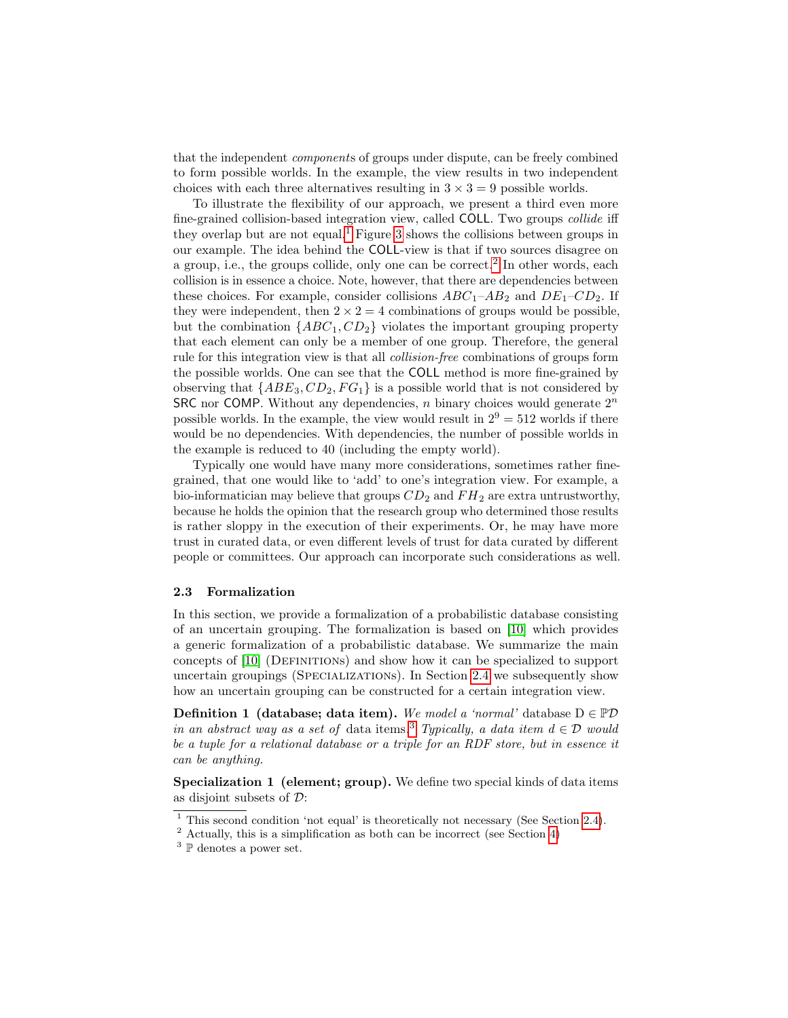that the independent components of groups under dispute, can be freely combined to form possible worlds. In the example, the view results in two independent choices with each three alternatives resulting in  $3 \times 3 = 9$  possible worlds.

To illustrate the flexibility of our approach, we present a third even more fine-grained collision-based integration view, called COLL. Two groups collide iff they overlap but are not equal.<sup>[1](#page-6-0)</sup> Figure [3](#page-5-0) shows the collisions between groups in our example. The idea behind the COLL-view is that if two sources disagree on a group, i.e., the groups collide, only one can be correct.<sup>[2](#page-6-1)</sup> In other words, each collision is in essence a choice. Note, however, that there are dependencies between these choices. For example, consider collisions  $ABC_1-AB_2$  and  $DE_1-CD_2$ . If they were independent, then  $2 \times 2 = 4$  combinations of groups would be possible, but the combination  ${ABC_1, CD_2}$  violates the important grouping property that each element can only be a member of one group. Therefore, the general rule for this integration view is that all collision-free combinations of groups form the possible worlds. One can see that the COLL method is more fine-grained by observing that  $\{ABE_3, CD_2, FG_1\}$  is a possible world that is not considered by SRC nor COMP. Without any dependencies, n binary choices would generate  $2^n$ possible worlds. In the example, the view would result in  $2^9 = 512$  worlds if there would be no dependencies. With dependencies, the number of possible worlds in the example is reduced to 40 (including the empty world).

Typically one would have many more considerations, sometimes rather finegrained, that one would like to 'add' to one's integration view. For example, a bio-informatician may believe that groups  $CD_2$  and  $FH_2$  are extra untrustworthy, because he holds the opinion that the research group who determined those results is rather sloppy in the execution of their experiments. Or, he may have more trust in curated data, or even different levels of trust for data curated by different people or committees. Our approach can incorporate such considerations as well.

#### 2.3 Formalization

In this section, we provide a formalization of a probabilistic database consisting of an uncertain grouping. The formalization is based on [\[10\]](#page-14-7) which provides a generic formalization of a probabilistic database. We summarize the main concepts of [\[10\]](#page-14-7) (Definitions) and show how it can be specialized to support uncertain groupings (Specializations). In Section [2.4](#page-9-0) we subsequently show how an uncertain grouping can be constructed for a certain integration view.

**Definition 1** (database; data item). We model a 'normal' database  $D \in \mathbb{P}D$ in an abstract way as a set of data items.<sup>[3](#page-6-2)</sup> Typically, a data item  $d \in \mathcal{D}$  would be a tuple for a relational database or a triple for an RDF store, but in essence it can be anything.

Specialization 1 (element; group). We define two special kinds of data items as disjoint subsets of  $\mathcal{D}$ :

<span id="page-6-0"></span><sup>&</sup>lt;sup>1</sup> This second condition 'not equal' is theoretically not necessary (See Section [2.4\)](#page-9-0).

<span id="page-6-1"></span> $2$  Actually, this is a simplification as both can be incorrect (see Section [4\)](#page-13-0)

<span id="page-6-2"></span> $3 \mathbb{P}$  denotes a power set.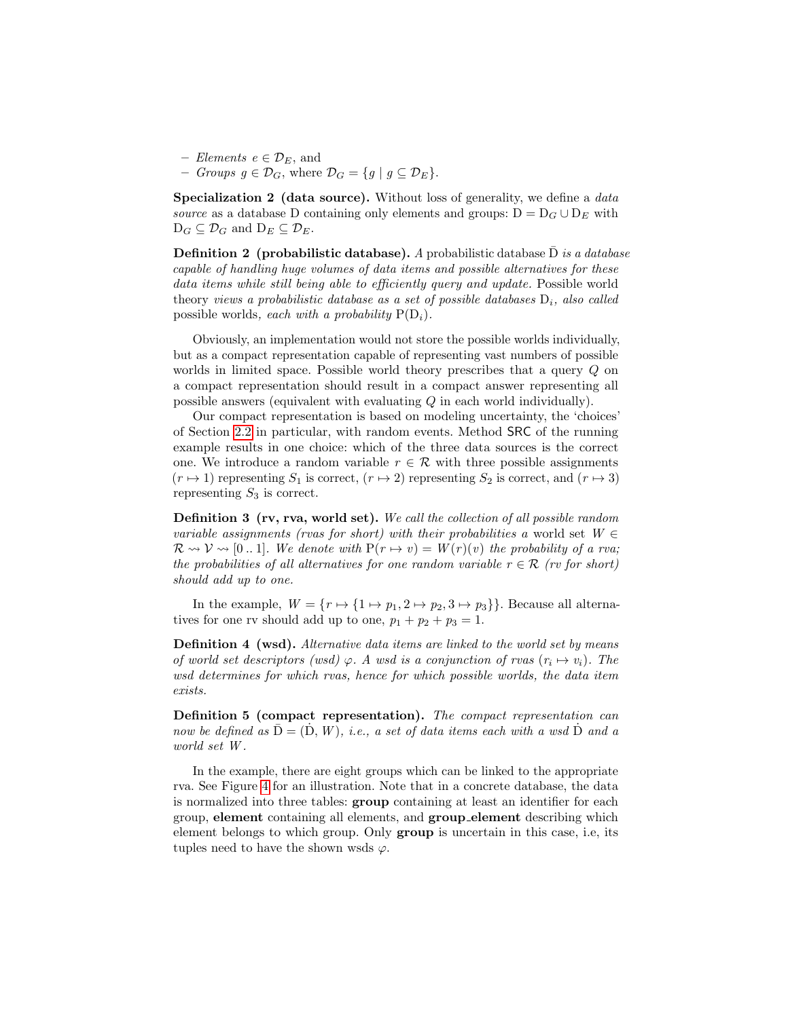– Elements  $e \in \mathcal{D}_E$ , and

– Groups  $g \in \mathcal{D}_G$ , where  $\mathcal{D}_G = \{ g \mid g \subseteq \mathcal{D}_E \}.$ 

**Specialization 2 (data source).** Without loss of generality, we define a  $data$ source as a database D containing only elements and groups:  $D = D_G \cup D_E$  with  $D_G \subseteq \mathcal{D}_G$  and  $D_E \subseteq \mathcal{D}_E$ .

**Definition 2** (probabilistic database). A probabilistic database  $\overline{D}$  is a database capable of handling huge volumes of data items and possible alternatives for these data items while still being able to efficiently query and update. Possible world theory views a probabilistic database as a set of possible databases  $D_i$ , also called possible worlds, each with a probability  $P(D_i)$ .

Obviously, an implementation would not store the possible worlds individually, but as a compact representation capable of representing vast numbers of possible worlds in limited space. Possible world theory prescribes that a query Q on a compact representation should result in a compact answer representing all possible answers (equivalent with evaluating Q in each world individually).

Our compact representation is based on modeling uncertainty, the 'choices' of Section [2.2](#page-4-2) in particular, with random events. Method SRC of the running example results in one choice: which of the three data sources is the correct one. We introduce a random variable  $r \in \mathcal{R}$  with three possible assignments  $(r \mapsto 1)$  representing  $S_1$  is correct,  $(r \mapsto 2)$  representing  $S_2$  is correct, and  $(r \mapsto 3)$ representing  $S_3$  is correct.

Definition 3 (rv, rva, world set). We call the collection of all possible random variable assignments (rvas for short) with their probabilities a world set  $W \in$  $\mathcal{R} \rightsquigarrow \mathcal{V} \rightsquigarrow [0..1]$ . We denote with  $P(r \mapsto v) = W(r)(v)$  the probability of a rva; the probabilities of all alternatives for one random variable  $r \in \mathcal{R}$  (rv for short) should add up to one.

In the example,  $W = \{r \mapsto \{1 \mapsto p_1, 2 \mapsto p_2, 3 \mapsto p_3\}\}\.$  Because all alternatives for one rv should add up to one,  $p_1 + p_2 + p_3 = 1$ .

**Definition 4 (wsd).** Alternative data items are linked to the world set by means of world set descriptors (wsd)  $\varphi$ . A wsd is a conjunction of rvas  $(r_i \mapsto v_i)$ . The wsd determines for which rvas, hence for which possible worlds, the data item exists.

Definition 5 (compact representation). The compact representation can now be defined as  $\bar{D} = (\dot{D}, W)$ , i.e., a set of data items each with a wsd  $\dot{D}$  and a world set W.

In the example, there are eight groups which can be linked to the appropriate rva. See Figure [4](#page-8-0) for an illustration. Note that in a concrete database, the data is normalized into three tables: group containing at least an identifier for each group, element containing all elements, and group element describing which element belongs to which group. Only group is uncertain in this case, i.e, its tuples need to have the shown wsds  $\varphi$ .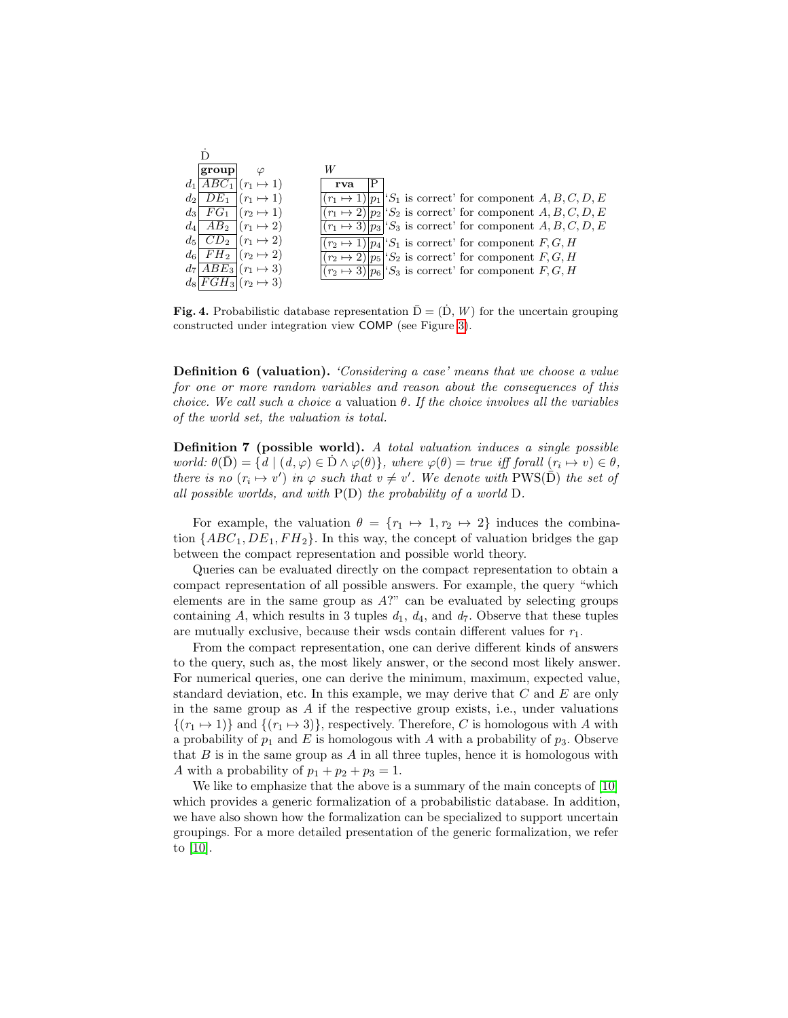|         | group<br>$\varphi$           | W   |                                                                                |
|---------|------------------------------|-----|--------------------------------------------------------------------------------|
|         | $d_1 ABC_1 (r_1\mapsto 1)$   | rva |                                                                                |
| $d_2$   | $DE_1$ $(r_1 \mapsto 1)$     |     | $(r_1 \mapsto 1) p_1 S_1$ is correct' for component A, B, C, D, E              |
| $d_3$   | $FG_1$ $(r_2 \mapsto 1)$     |     | $(r_1 \mapsto 2)[p_2]^{\epsilon}S_2$ is correct' for component $A, B, C, D, E$ |
| $d_4$   | $AB_2$ $(r_1 \mapsto 2)$     |     | $(r_1 \mapsto 3)[p_3]^{\mathbb{Z}}$ is correct' for component $A, B, C, D, E$  |
| $d_{5}$ | $CD_2$ $(r_1 \mapsto 2)$     |     | $(r_2 \mapsto 1) p_4 $ ' $S_1$ is correct' for component $F, G, H$             |
| $d_6$   | $FH_2$ $(r_2 \rightarrow 2)$ |     | $(r_2 \mapsto 2) p_5  S_2$ is correct' for component $F, G, H$                 |
|         | $d_7 ABE_3 (r_1 \mapsto 3)$  |     | $(r_2 \mapsto 3) p_6 S_3$ is correct' for component $F, G, H$                  |
|         | $d_8 FGH_3 (r_2)$            |     |                                                                                |

<span id="page-8-0"></span>**Fig. 4.** Probabilistic database representation  $\bar{D} = (\dot{D}, W)$  for the uncertain grouping constructed under integration view COMP (see Figure [3\)](#page-5-0).

Definition 6 (valuation). 'Considering a case' means that we choose a value for one or more random variables and reason about the consequences of this choice. We call such a choice a valuation  $\theta$ . If the choice involves all the variables of the world set, the valuation is total.

Definition 7 (possible world). A total valuation induces a single possible world:  $\theta(\bar{D}) = {\tilde{d} \mid (d, \varphi) \in \dot{D} \land \varphi(\theta)}$ , where  $\varphi(\theta) = true$  iff forall  $(r_i \mapsto v) \in \theta$ , there is no  $(r_i \mapsto v')$  in  $\varphi$  such that  $v \neq v'$ . We denote with PWS(D) the set of all possible worlds, and with  $P(D)$  the probability of a world D.

For example, the valuation  $\theta = \{r_1 \mapsto 1, r_2 \mapsto 2\}$  induces the combination  ${ABC_1, DE_1, FH_2}$ . In this way, the concept of valuation bridges the gap between the compact representation and possible world theory.

Queries can be evaluated directly on the compact representation to obtain a compact representation of all possible answers. For example, the query "which elements are in the same group as  $A$ ?" can be evaluated by selecting groups containing A, which results in 3 tuples  $d_1$ ,  $d_4$ , and  $d_7$ . Observe that these tuples are mutually exclusive, because their wsds contain different values for  $r_1$ .

From the compact representation, one can derive different kinds of answers to the query, such as, the most likely answer, or the second most likely answer. For numerical queries, one can derive the minimum, maximum, expected value, standard deviation, etc. In this example, we may derive that  $C$  and  $E$  are only in the same group as  $A$  if the respective group exists, i.e., under valuations  $\{(r_1 \mapsto 1)\}\$ and  $\{(r_1 \mapsto 3)\}\$ , respectively. Therefore, C is homologous with A with a probability of  $p_1$  and E is homologous with A with a probability of  $p_3$ . Observe that  $B$  is in the same group as  $A$  in all three tuples, hence it is homologous with A with a probability of  $p_1 + p_2 + p_3 = 1$ .

We like to emphasize that the above is a summary of the main concepts of [\[10\]](#page-14-7) which provides a generic formalization of a probabilistic database. In addition, we have also shown how the formalization can be specialized to support uncertain groupings. For a more detailed presentation of the generic formalization, we refer to [\[10\]](#page-14-7).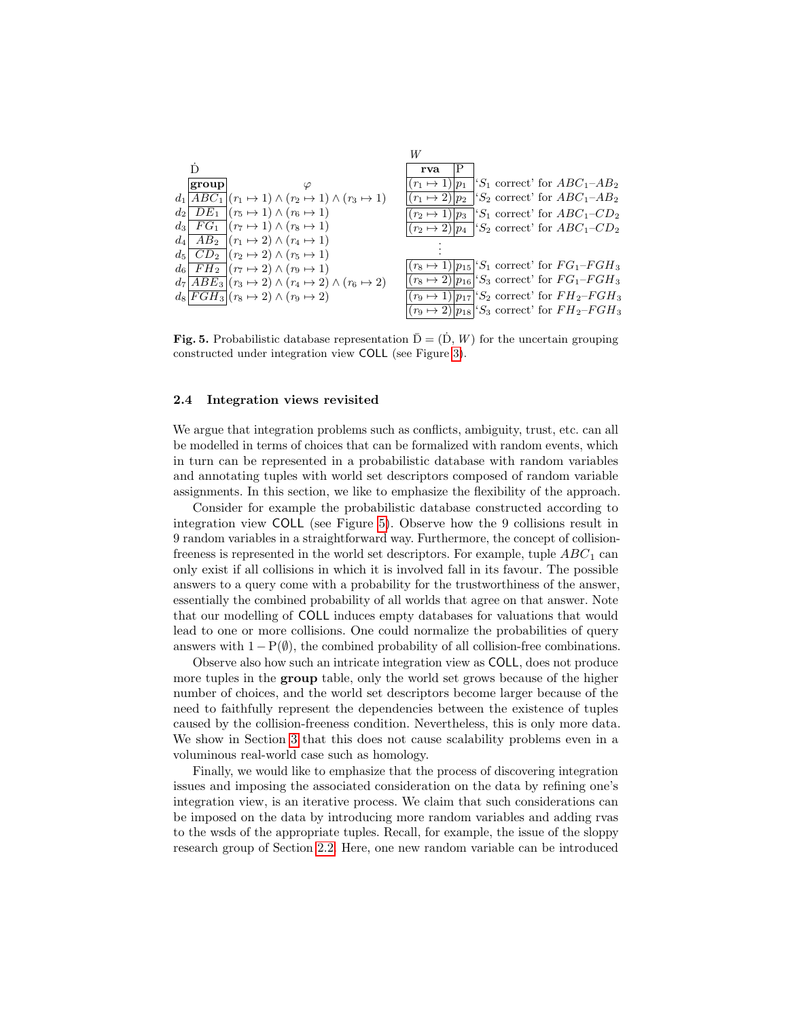|                                                                                    | W   |                                                                                      |
|------------------------------------------------------------------------------------|-----|--------------------------------------------------------------------------------------|
|                                                                                    | rva |                                                                                      |
| group                                                                              |     | $(r_1 \mapsto 1) p_1 $ 'S <sub>1</sub> correct' for $ABC_1$ – $AB_2$                 |
| $d_1 ABC_1 (r_1\mapsto 1)\wedge(r_2\mapsto 1)\wedge(r_3\mapsto 1)$                 |     | $[(r_1 \mapsto 2) p_2 S_2$ correct' for $ABC_1$ -AB <sub>2</sub>                     |
| $d_2$ $DE_1$ $(r_5 \mapsto 1) \wedge (r_6 \mapsto 1)$                              |     | $(r_2 \mapsto 1) p_3 $ 'S <sub>1</sub> correct' for $ABC_1$ -CD <sub>2</sub>         |
| $d_3 \left[ FG_1 \right] (r_7 \mapsto 1) \wedge (r_8 \mapsto 1)$                   |     | $(r_2 \mapsto 2) p_4 $ 'S <sub>2</sub> correct' for $ABC_1$ -CD <sub>2</sub>         |
| $d_4$ $AB_2$ $(r_1 \mapsto 2) \wedge (r_4 \mapsto 1)$                              |     |                                                                                      |
| $d_5$ $CD_2$ $(r_2 \mapsto 2) \wedge (r_5 \mapsto 1)$                              |     |                                                                                      |
| $d_6$ $FH_2$ $(r_7 \mapsto 2) \wedge (r_9 \mapsto 1)$                              |     | $ (r_8 \rightarrow 1) p_{15} $ 'S <sub>1</sub> correct' for $FG_1$ -FGH <sub>3</sub> |
| $d_7\overline{ABE_3}(r_3 \mapsto 2) \wedge (r_4 \mapsto 2) \wedge (r_6 \mapsto 2)$ |     | $ (r_8 \rightarrow 2) p_{16} $ 'S <sub>3</sub> correct' for $FG_1$ -FGH <sub>3</sub> |
| $d_8 FG\overline{H_3} (r_8\mapsto 2)\wedge(r_9\mapsto 2)$                          |     | $(r_9 \rightarrow 1) p_{17} $ 'S <sub>2</sub> correct' for $FH_2$ -FGH <sub>3</sub>  |
|                                                                                    |     | $(r_9 \rightarrow 2) p_{18} $ 'S <sub>3</sub> correct' for $FH_2$ -FGH <sub>3</sub>  |

<span id="page-9-1"></span>**Fig. 5.** Probabilistic database representation  $\bar{D} = (\dot{D}, W)$  for the uncertain grouping constructed under integration view COLL (see Figure [3\)](#page-5-0).

#### <span id="page-9-0"></span>2.4 Integration views revisited

We argue that integration problems such as conflicts, ambiguity, trust, etc. can all be modelled in terms of choices that can be formalized with random events, which in turn can be represented in a probabilistic database with random variables and annotating tuples with world set descriptors composed of random variable assignments. In this section, we like to emphasize the flexibility of the approach.

Consider for example the probabilistic database constructed according to integration view COLL (see Figure [5\)](#page-9-1). Observe how the 9 collisions result in 9 random variables in a straightforward way. Furthermore, the concept of collisionfreeness is represented in the world set descriptors. For example, tuple  $ABC_1$  can only exist if all collisions in which it is involved fall in its favour. The possible answers to a query come with a probability for the trustworthiness of the answer, essentially the combined probability of all worlds that agree on that answer. Note that our modelling of COLL induces empty databases for valuations that would lead to one or more collisions. One could normalize the probabilities of query answers with  $1 - P(\emptyset)$ , the combined probability of all collision-free combinations.

Observe also how such an intricate integration view as COLL, does not produce more tuples in the **group** table, only the world set grows because of the higher number of choices, and the world set descriptors become larger because of the need to faithfully represent the dependencies between the existence of tuples caused by the collision-freeness condition. Nevertheless, this is only more data. We show in Section [3](#page-10-0) that this does not cause scalability problems even in a voluminous real-world case such as homology.

Finally, we would like to emphasize that the process of discovering integration issues and imposing the associated consideration on the data by refining one's integration view, is an iterative process. We claim that such considerations can be imposed on the data by introducing more random variables and adding rvas to the wsds of the appropriate tuples. Recall, for example, the issue of the sloppy research group of Section [2.2.](#page-4-2) Here, one new random variable can be introduced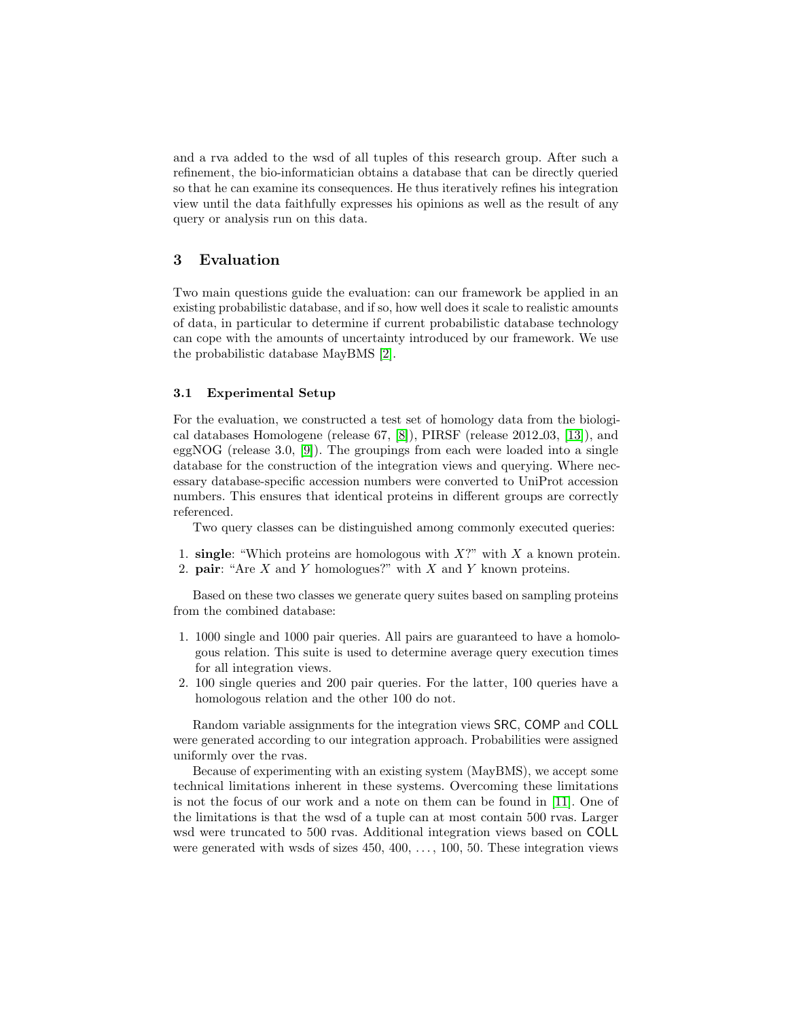and a rva added to the wsd of all tuples of this research group. After such a refinement, the bio-informatician obtains a database that can be directly queried so that he can examine its consequences. He thus iteratively refines his integration view until the data faithfully expresses his opinions as well as the result of any query or analysis run on this data.

# <span id="page-10-0"></span>3 Evaluation

Two main questions guide the evaluation: can our framework be applied in an existing probabilistic database, and if so, how well does it scale to realistic amounts of data, in particular to determine if current probabilistic database technology can cope with the amounts of uncertainty introduced by our framework. We use the probabilistic database MayBMS [\[2\]](#page-14-9).

### 3.1 Experimental Setup

For the evaluation, we constructed a test set of homology data from the biological databases Homologene (release 67, [\[8\]](#page-14-4)), PIRSF (release 2012 03, [\[13\]](#page-14-5)), and eggNOG (release 3.0, [\[9\]](#page-14-6)). The groupings from each were loaded into a single database for the construction of the integration views and querying. Where necessary database-specific accession numbers were converted to UniProt accession numbers. This ensures that identical proteins in different groups are correctly referenced.

Two query classes can be distinguished among commonly executed queries:

- 1. single: "Which proteins are homologous with  $X$ ?" with  $X$  a known protein.
- 2. **pair**: "Are  $X$  and  $Y$  homologues?" with  $X$  and  $Y$  known proteins.

Based on these two classes we generate query suites based on sampling proteins from the combined database:

- 1. 1000 single and 1000 pair queries. All pairs are guaranteed to have a homologous relation. This suite is used to determine average query execution times for all integration views.
- 2. 100 single queries and 200 pair queries. For the latter, 100 queries have a homologous relation and the other 100 do not.

Random variable assignments for the integration views SRC, COMP and COLL were generated according to our integration approach. Probabilities were assigned uniformly over the rvas.

Because of experimenting with an existing system (MayBMS), we accept some technical limitations inherent in these systems. Overcoming these limitations is not the focus of our work and a note on them can be found in [\[11\]](#page-14-12). One of the limitations is that the wsd of a tuple can at most contain 500 rvas. Larger wsd were truncated to 500 rvas. Additional integration views based on COLL were generated with wsds of sizes 450, 400, . . . , 100, 50. These integration views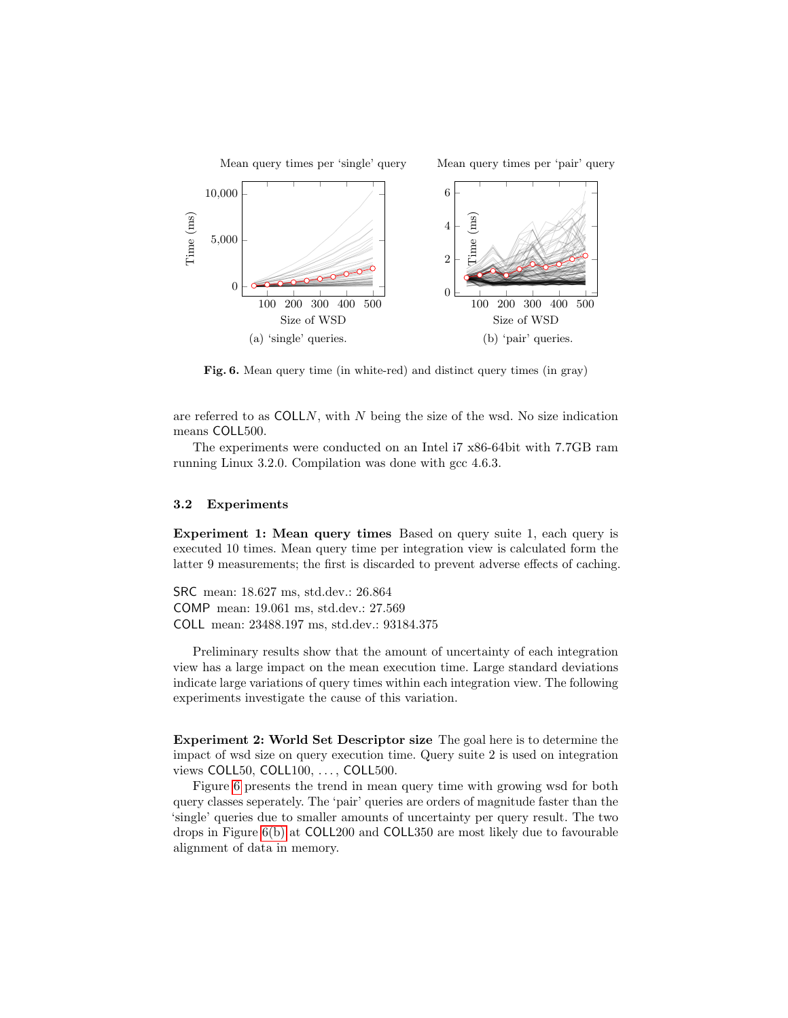

<span id="page-11-1"></span><span id="page-11-0"></span>Fig. 6. Mean query time (in white-red) and distinct query times (in gray)

are referred to as  $COLLN$ , with N being the size of the wsd. No size indication means COLL500.

The experiments were conducted on an Intel i7 x86-64bit with 7.7GB ram running Linux 3.2.0. Compilation was done with gcc 4.6.3.

#### 3.2 Experiments

Experiment 1: Mean query times Based on query suite 1, each query is executed 10 times. Mean query time per integration view is calculated form the latter 9 measurements; the first is discarded to prevent adverse effects of caching.

SRC mean: 18.627 ms, std.dev.: 26.864 COMP mean: 19.061 ms, std.dev.: 27.569 COLL mean: 23488.197 ms, std.dev.: 93184.375

Preliminary results show that the amount of uncertainty of each integration view has a large impact on the mean execution time. Large standard deviations indicate large variations of query times within each integration view. The following experiments investigate the cause of this variation.

Experiment 2: World Set Descriptor size The goal here is to determine the impact of wsd size on query execution time. Query suite 2 is used on integration views COLL50, COLL100, ..., COLL500.

Figure [6](#page-11-0) presents the trend in mean query time with growing wsd for both query classes seperately. The 'pair' queries are orders of magnitude faster than the 'single' queries due to smaller amounts of uncertainty per query result. The two drops in Figure [6\(b\)](#page-11-1) at COLL200 and COLL350 are most likely due to favourable alignment of data in memory.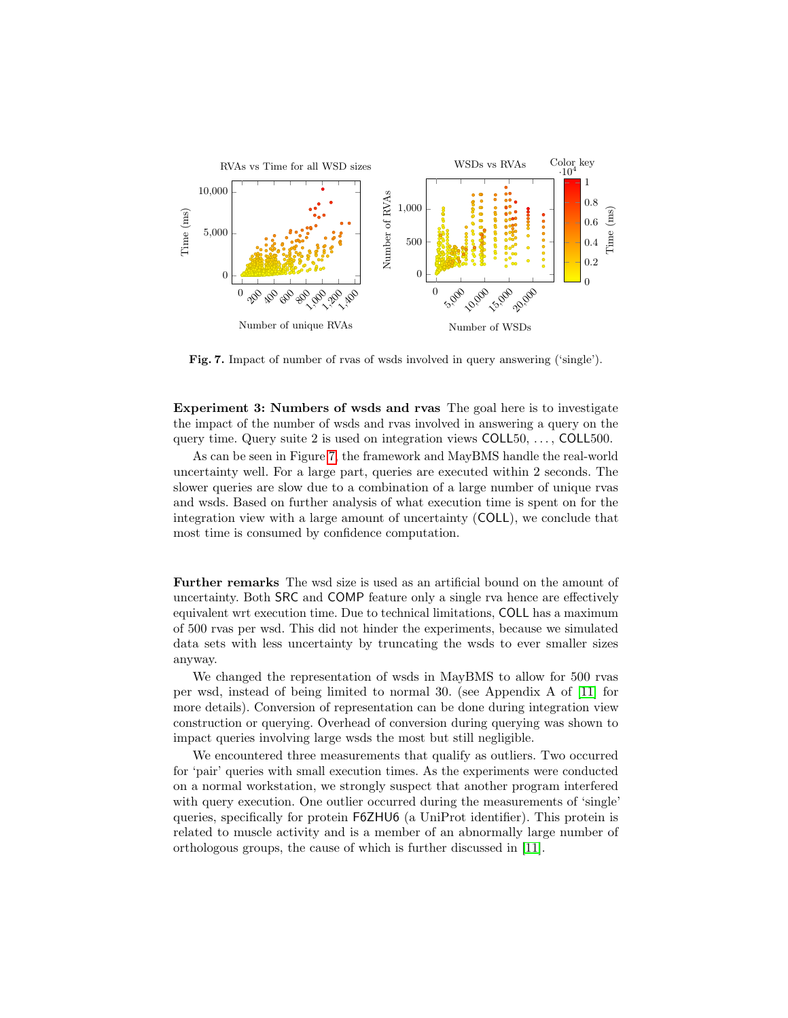

<span id="page-12-0"></span>Fig. 7. Impact of number of rvas of wsds involved in query answering ('single').

Experiment 3: Numbers of wsds and rvas The goal here is to investigate the impact of the number of wsds and rvas involved in answering a query on the query time. Query suite 2 is used on integration views COLL50, . . . , COLL500.

As can be seen in Figure [7,](#page-12-0) the framework and MayBMS handle the real-world uncertainty well. For a large part, queries are executed within 2 seconds. The slower queries are slow due to a combination of a large number of unique rvas and wsds. Based on further analysis of what execution time is spent on for the integration view with a large amount of uncertainty (COLL), we conclude that most time is consumed by confidence computation.

Further remarks The wsd size is used as an artificial bound on the amount of uncertainty. Both SRC and COMP feature only a single rva hence are effectively equivalent wrt execution time. Due to technical limitations, COLL has a maximum of 500 rvas per wsd. This did not hinder the experiments, because we simulated data sets with less uncertainty by truncating the wsds to ever smaller sizes anyway.

We changed the representation of wsds in MayBMS to allow for 500 rvas per wsd, instead of being limited to normal 30. (see Appendix A of [\[11\]](#page-14-12) for more details). Conversion of representation can be done during integration view construction or querying. Overhead of conversion during querying was shown to impact queries involving large wsds the most but still negligible.

We encountered three measurements that qualify as outliers. Two occurred for 'pair' queries with small execution times. As the experiments were conducted on a normal workstation, we strongly suspect that another program interfered with query execution. One outlier occurred during the measurements of 'single' queries, specifically for protein F6ZHU6 (a UniProt identifier). This protein is related to muscle activity and is a member of an abnormally large number of orthologous groups, the cause of which is further discussed in [\[11\]](#page-14-12).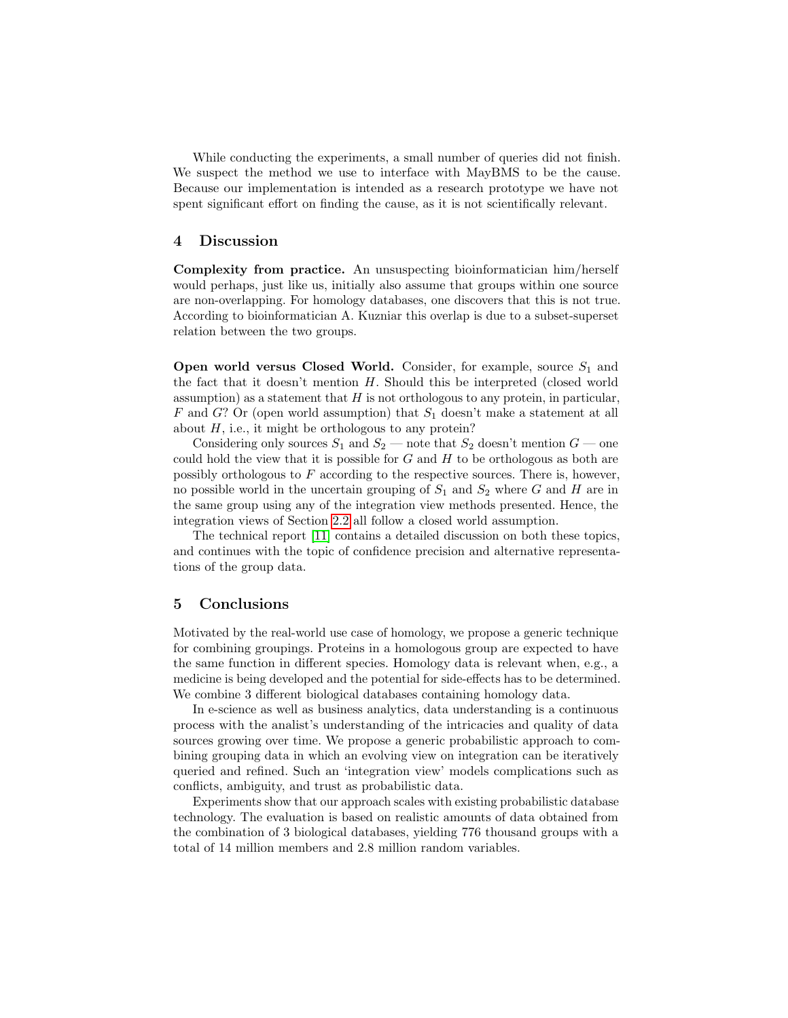While conducting the experiments, a small number of queries did not finish. We suspect the method we use to interface with MayBMS to be the cause. Because our implementation is intended as a research prototype we have not spent significant effort on finding the cause, as it is not scientifically relevant.

## <span id="page-13-0"></span>4 Discussion

Complexity from practice. An unsuspecting bioinformatician him/herself would perhaps, just like us, initially also assume that groups within one source are non-overlapping. For homology databases, one discovers that this is not true. According to bioinformatician A. Kuzniar this overlap is due to a subset-superset relation between the two groups.

**Open world versus Closed World.** Consider, for example, source  $S_1$  and the fact that it doesn't mention H. Should this be interpreted (closed world assumption) as a statement that  $H$  is not orthologous to any protein, in particular, F and G? Or (open world assumption) that  $S_1$  doesn't make a statement at all about  $H$ , i.e., it might be orthologous to any protein?

Considering only sources  $S_1$  and  $S_2$  — note that  $S_2$  doesn't mention  $G$  — one could hold the view that it is possible for  $G$  and  $H$  to be orthologous as both are possibly orthologous to  $F$  according to the respective sources. There is, however, no possible world in the uncertain grouping of  $S_1$  and  $S_2$  where G and H are in the same group using any of the integration view methods presented. Hence, the integration views of Section [2.2](#page-4-2) all follow a closed world assumption.

The technical report [\[11\]](#page-14-12) contains a detailed discussion on both these topics, and continues with the topic of confidence precision and alternative representations of the group data.

## <span id="page-13-1"></span>5 Conclusions

Motivated by the real-world use case of homology, we propose a generic technique for combining groupings. Proteins in a homologous group are expected to have the same function in different species. Homology data is relevant when, e.g., a medicine is being developed and the potential for side-effects has to be determined. We combine 3 different biological databases containing homology data.

In e-science as well as business analytics, data understanding is a continuous process with the analist's understanding of the intricacies and quality of data sources growing over time. We propose a generic probabilistic approach to combining grouping data in which an evolving view on integration can be iteratively queried and refined. Such an 'integration view' models complications such as conflicts, ambiguity, and trust as probabilistic data.

Experiments show that our approach scales with existing probabilistic database technology. The evaluation is based on realistic amounts of data obtained from the combination of 3 biological databases, yielding 776 thousand groups with a total of 14 million members and 2.8 million random variables.